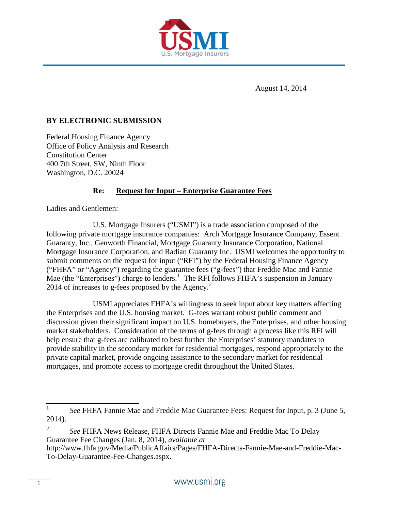

August 14, 2014

### **BY ELECTRONIC SUBMISSION**

Federal Housing Finance Agency Office of Policy Analysis and Research Constitution Center 400 7th Street, SW, Ninth Floor Washington, D.C. 20024

# **Re: Request for Input – Enterprise Guarantee Fees**

Ladies and Gentlemen:

U.S. Mortgage Insurers ("USMI") is a trade association composed of the following private mortgage insurance companies: Arch Mortgage Insurance Company, Essent Guaranty, Inc., Genworth Financial, Mortgage Guaranty Insurance Corporation, National Mortgage Insurance Corporation, and Radian Guaranty Inc. USMI welcomes the opportunity to submit comments on the request for input ("RFI") by the Federal Housing Finance Agency ("FHFA" or "Agency") regarding the guarantee fees ("g-fees") that Freddie Mac and Fannie Mae (the "Enterprises") charge to lenders.<sup>[1](#page-0-0)</sup> The RFI follows FHFA's suspension in January [2](#page-0-1)014 of increases to g-fees proposed by the Agency. $2$ 

USMI appreciates FHFA's willingness to seek input about key matters affecting the Enterprises and the U.S. housing market. G-fees warrant robust public comment and discussion given their significant impact on U.S. homebuyers, the Enterprises, and other housing market stakeholders. Consideration of the terms of g-fees through a process like this RFI will help ensure that g-fees are calibrated to best further the Enterprises' statutory mandates to provide stability in the secondary market for residential mortgages, respond appropriately to the private capital market, provide ongoing assistance to the secondary market for residential mortgages, and promote access to mortgage credit throughout the United States.

<span id="page-0-0"></span><sup>&</sup>lt;sup>1</sup> *See* FHFA Fannie Mae and Freddie Mac Guarantee Fees: Request for Input, p. 3 (June 5, 2014).

<span id="page-0-1"></span><sup>2</sup> *See* FHFA News Release, FHFA Directs Fannie Mae and Freddie Mac To Delay Guarantee Fee Changes (Jan. 8, 2014), *available at*

http://www.fhfa.gov/Media/PublicAffairs/Pages/FHFA-Directs-Fannie-Mae-and-Freddie-Mac-To-Delay-Guarantee-Fee-Changes.aspx.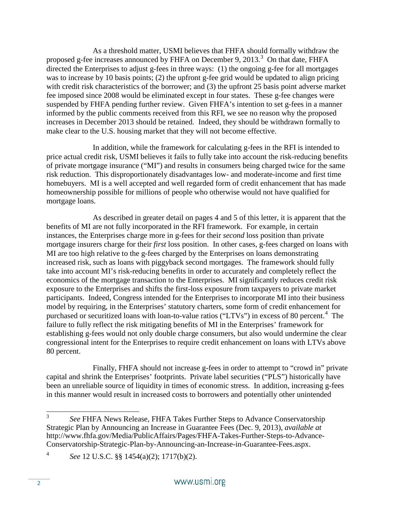As a threshold matter, USMI believes that FHFA should formally withdraw the proposed g-fee increases announced by FHFA on December 9, 201[3](#page-1-0). $3$  On that date, FHFA directed the Enterprises to adjust g-fees in three ways: (1) the ongoing g-fee for all mortgages was to increase by 10 basis points; (2) the upfront g-fee grid would be updated to align pricing with credit risk characteristics of the borrower; and (3) the upfront 25 basis point adverse market fee imposed since 2008 would be eliminated except in four states. These g-fee changes were suspended by FHFA pending further review. Given FHFA's intention to set g-fees in a manner informed by the public comments received from this RFI, we see no reason why the proposed increases in December 2013 should be retained. Indeed, they should be withdrawn formally to make clear to the U.S. housing market that they will not become effective.

In addition, while the framework for calculating g-fees in the RFI is intended to price actual credit risk, USMI believes it fails to fully take into account the risk-reducing benefits of private mortgage insurance ("MI") and results in consumers being charged twice for the same risk reduction. This disproportionately disadvantages low- and moderate-income and first time homebuyers. MI is a well accepted and well regarded form of credit enhancement that has made homeownership possible for millions of people who otherwise would not have qualified for mortgage loans.

As described in greater detail on pages 4 and 5 of this letter, it is apparent that the benefits of MI are not fully incorporated in the RFI framework. For example, in certain instances, the Enterprises charge more in g-fees for their *second* loss position than private mortgage insurers charge for their *first* loss position. In other cases, g-fees charged on loans with MI are too high relative to the g-fees charged by the Enterprises on loans demonstrating increased risk, such as loans with piggyback second mortgages. The framework should fully take into account MI's risk-reducing benefits in order to accurately and completely reflect the economics of the mortgage transaction to the Enterprises. MI significantly reduces credit risk exposure to the Enterprises and shifts the first-loss exposure from taxpayers to private market participants. Indeed, Congress intended for the Enterprises to incorporate MI into their business model by requiring, in the Enterprises' statutory charters, some form of credit enhancement for purchased or securitized loans with loan-to-value ratios ("LTVs") in excess of 80 percent.<sup>[4](#page-1-1)</sup> The failure to fully reflect the risk mitigating benefits of MI in the Enterprises' framework for establishing g-fees would not only double charge consumers, but also would undermine the clear congressional intent for the Enterprises to require credit enhancement on loans with LTVs above 80 percent.

Finally, FHFA should not increase g-fees in order to attempt to "crowd in" private capital and shrink the Enterprises' footprints. Private label securities ("PLS") historically have been an unreliable source of liquidity in times of economic stress. In addition, increasing g-fees in this manner would result in increased costs to borrowers and potentially other unintended

<span id="page-1-0"></span><sup>3</sup> *See* FHFA News Release, FHFA Takes Further Steps to Advance Conservatorship Strategic Plan by Announcing an Increase in Guarantee Fees (Dec. 9, 2013), *available at* http://www.fhfa.gov/Media/PublicAffairs/Pages/FHFA-Takes-Further-Steps-to-Advance-Conservatorship-Strategic-Plan-by-Announcing-an-Increase-in-Guarantee-Fees.aspx.

<span id="page-1-1"></span><sup>4</sup> *See* 12 U.S.C. §§ 1454(a)(2); 1717(b)(2).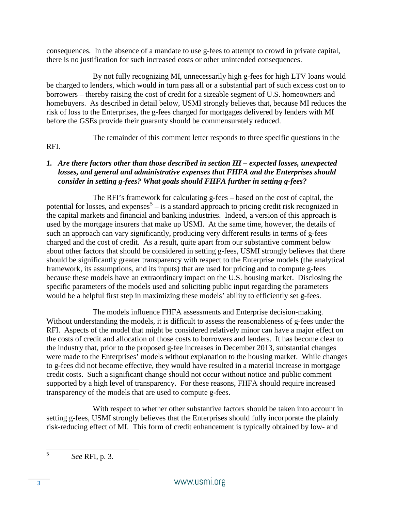consequences. In the absence of a mandate to use g-fees to attempt to crowd in private capital, there is no justification for such increased costs or other unintended consequences.

By not fully recognizing MI, unnecessarily high g-fees for high LTV loans would be charged to lenders, which would in turn pass all or a substantial part of such excess cost on to borrowers – thereby raising the cost of credit for a sizeable segment of U.S. homeowners and homebuyers. As described in detail below, USMI strongly believes that, because MI reduces the risk of loss to the Enterprises, the g-fees charged for mortgages delivered by lenders with MI before the GSEs provide their guaranty should be commensurately reduced.

The remainder of this comment letter responds to three specific questions in the

# RFI.

# *1. Are there factors other than those described in section III – expected losses, unexpected losses, and general and administrative expenses that FHFA and the Enterprises should consider in setting g-fees? What goals should FHFA further in setting g-fees?*

The RFI's framework for calculating g-fees – based on the cost of capital, the potential for losses, and expenses<sup>[5](#page-2-0)</sup> – is a standard approach to pricing credit risk recognized in the capital markets and financial and banking industries. Indeed, a version of this approach is used by the mortgage insurers that make up USMI. At the same time, however, the details of such an approach can vary significantly, producing very different results in terms of g-fees charged and the cost of credit. As a result, quite apart from our substantive comment below about other factors that should be considered in setting g-fees, USMI strongly believes that there should be significantly greater transparency with respect to the Enterprise models (the analytical framework, its assumptions, and its inputs) that are used for pricing and to compute g-fees because these models have an extraordinary impact on the U.S. housing market. Disclosing the specific parameters of the models used and soliciting public input regarding the parameters would be a helpful first step in maximizing these models' ability to efficiently set g-fees.

The models influence FHFA assessments and Enterprise decision-making. Without understanding the models, it is difficult to assess the reasonableness of g-fees under the RFI. Aspects of the model that might be considered relatively minor can have a major effect on the costs of credit and allocation of those costs to borrowers and lenders. It has become clear to the industry that, prior to the proposed g-fee increases in December 2013, substantial changes were made to the Enterprises' models without explanation to the housing market. While changes to g-fees did not become effective, they would have resulted in a material increase in mortgage credit costs. Such a significant change should not occur without notice and public comment supported by a high level of transparency. For these reasons, FHFA should require increased transparency of the models that are used to compute g-fees.

With respect to whether other substantive factors should be taken into account in setting g-fees, USMI strongly believes that the Enterprises should fully incorporate the plainly risk-reducing effect of MI. This form of credit enhancement is typically obtained by low- and

<span id="page-2-0"></span><sup>5</sup> *See* RFI, p. 3.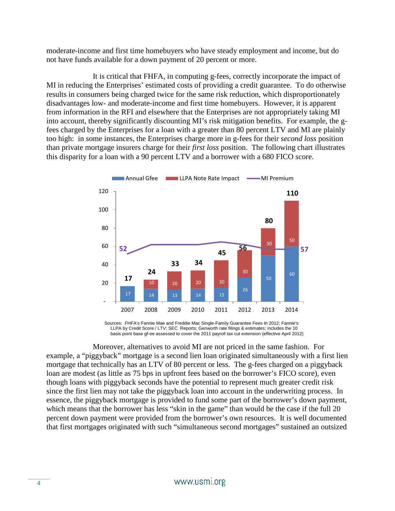moderate-income and first time homebuyers who have steady employment and income, but do not have funds available for a down payment of 20 percent or more.

It is critical that FHFA, in computing g-fees, correctly incorporate the impact of MI in reducing the Enterprises' estimated costs of providing a credit guarantee. To do otherwise results in consumers being charged twice for the same risk reduction, which disproportionately disadvantages low- and moderate-income and first time homebuyers. However, it is apparent from information in the RFI and elsewhere that the Enterprises are not appropriately taking MI into account, thereby significantly discounting MI's risk mitigation benefits. For example, the gfees charged by the Enterprises for a loan with a greater than 80 percent LTV and MI are plainly too high: in some instances, the Enterprises charge more in g-fees for their *second loss* position than private mortgage insurers charge for their *first loss* position. The following chart illustrates this disparity for a loan with a 90 percent LTV and a borrower with a 680 FICO score.



Sources: FHFA's Fannie Mae and Freddie Mac Single-Family Guarantee Fees In 2012; Fannie's LLPA by Credit Score / LTV; SEC Reports; Genworth rate filings & estimates; includes the 10 basis point base gf-ee assessed to cover the 2011 payroll tax cut extension (effective April 2012)

Moreover, alternatives to avoid MI are not priced in the same fashion. For example, a "piggyback" mortgage is a second lien loan originated simultaneously with a first lien mortgage that technically has an LTV of 80 percent or less. The g-fees charged on a piggyback loan are modest (as little as 75 bps in upfront fees based on the borrower's FICO score), even though loans with piggyback seconds have the potential to represent much greater credit risk since the first lien may not take the piggyback loan into account in the underwriting process. In essence, the piggyback mortgage is provided to fund some part of the borrower's down payment, which means that the borrower has less "skin in the game" than would be the case if the full 20 percent down payment were provided from the borrower's own resources. It is well documented that first mortgages originated with such "simultaneous second mortgages" sustained an outsized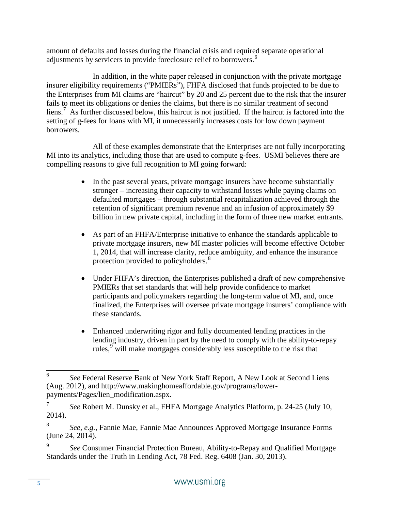amount of defaults and losses during the financial crisis and required separate operational adjustments by servicers to provide foreclosure relief to borrowers. [6](#page-4-0)

In addition, in the white paper released in conjunction with the private mortgage insurer eligibility requirements ("PMIERs"), FHFA disclosed that funds projected to be due to the Enterprises from MI claims are "haircut" by 20 and 25 percent due to the risk that the insurer fails to meet its obligations or denies the claims, but there is no similar treatment of second liens.<sup>[7](#page-4-1)</sup> As further discussed below, this haircut is not justified. If the haircut is factored into the setting of g-fees for loans with MI, it unnecessarily increases costs for low down payment borrowers.

All of these examples demonstrate that the Enterprises are not fully incorporating MI into its analytics, including those that are used to compute g-fees. USMI believes there are compelling reasons to give full recognition to MI going forward:

- In the past several years, private mortgage insurers have become substantially stronger – increasing their capacity to withstand losses while paying claims on defaulted mortgages – through substantial recapitalization achieved through the retention of significant premium revenue and an infusion of approximately \$9 billion in new private capital, including in the form of three new market entrants.
- As part of an FHFA/Enterprise initiative to enhance the standards applicable to private mortgage insurers, new MI master policies will become effective October 1, 2014, that will increase clarity, reduce ambiguity, and enhance the insurance protection provided to policyholders.<sup>[8](#page-4-2)</sup>
- Under FHFA's direction, the Enterprises published a draft of new comprehensive PMIERs that set standards that will help provide confidence to market participants and policymakers regarding the long-term value of MI, and, once finalized, the Enterprises will oversee private mortgage insurers' compliance with these standards.
- Enhanced underwriting rigor and fully documented lending practices in the lending industry, driven in part by the need to comply with the ability-to-repay rules,<sup>[9](#page-4-3)</sup> will make mortgages considerably less susceptible to the risk that

<span id="page-4-0"></span><sup>6</sup> *See* Federal Reserve Bank of New York Staff Report, A New Look at Second Liens (Aug. 2012), and http://www.makinghomeaffordable.gov/programs/lowerpayments/Pages/lien\_modification.aspx.

<span id="page-4-1"></span><sup>7</sup> *See* Robert M. Dunsky et al., FHFA Mortgage Analytics Platform, p. 24-25 (July 10, 2014).

<span id="page-4-2"></span><sup>8</sup> *See, e.g.*, Fannie Mae, Fannie Mae Announces Approved Mortgage Insurance Forms (June 24, 2014).

<span id="page-4-3"></span><sup>9</sup> *See* Consumer Financial Protection Bureau, Ability-to-Repay and Qualified Mortgage Standards under the Truth in Lending Act, 78 Fed. Reg. 6408 (Jan. 30, 2013).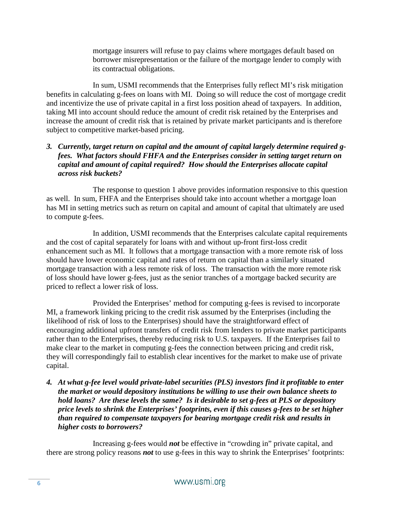mortgage insurers will refuse to pay claims where mortgages default based on borrower misrepresentation or the failure of the mortgage lender to comply with its contractual obligations.

In sum, USMI recommends that the Enterprises fully reflect MI's risk mitigation benefits in calculating g-fees on loans with MI. Doing so will reduce the cost of mortgage credit and incentivize the use of private capital in a first loss position ahead of taxpayers. In addition, taking MI into account should reduce the amount of credit risk retained by the Enterprises and increase the amount of credit risk that is retained by private market participants and is therefore subject to competitive market-based pricing.

#### *3. Currently, target return on capital and the amount of capital largely determine required gfees. What factors should FHFA and the Enterprises consider in setting target return on capital and amount of capital required? How should the Enterprises allocate capital across risk buckets?*

The response to question 1 above provides information responsive to this question as well. In sum, FHFA and the Enterprises should take into account whether a mortgage loan has MI in setting metrics such as return on capital and amount of capital that ultimately are used to compute g-fees.

In addition, USMI recommends that the Enterprises calculate capital requirements and the cost of capital separately for loans with and without up-front first-loss credit enhancement such as MI. It follows that a mortgage transaction with a more remote risk of loss should have lower economic capital and rates of return on capital than a similarly situated mortgage transaction with a less remote risk of loss. The transaction with the more remote risk of loss should have lower g-fees, just as the senior tranches of a mortgage backed security are priced to reflect a lower risk of loss.

Provided the Enterprises' method for computing g-fees is revised to incorporate MI, a framework linking pricing to the credit risk assumed by the Enterprises (including the likelihood of risk of loss to the Enterprises) should have the straightforward effect of encouraging additional upfront transfers of credit risk from lenders to private market participants rather than to the Enterprises, thereby reducing risk to U.S. taxpayers. If the Enterprises fail to make clear to the market in computing g-fees the connection between pricing and credit risk, they will correspondingly fail to establish clear incentives for the market to make use of private capital.

*4. At what g-fee level would private-label securities (PLS) investors find it profitable to enter the market or would depository institutions be willing to use their own balance sheets to hold loans? Are these levels the same? Is it desirable to set g-fees at PLS or depository price levels to shrink the Enterprises' footprints, even if this causes g-fees to be set higher than required to compensate taxpayers for bearing mortgage credit risk and results in higher costs to borrowers?* 

Increasing g-fees would *not* be effective in "crowding in" private capital, and there are strong policy reasons *not* to use g-fees in this way to shrink the Enterprises' footprints: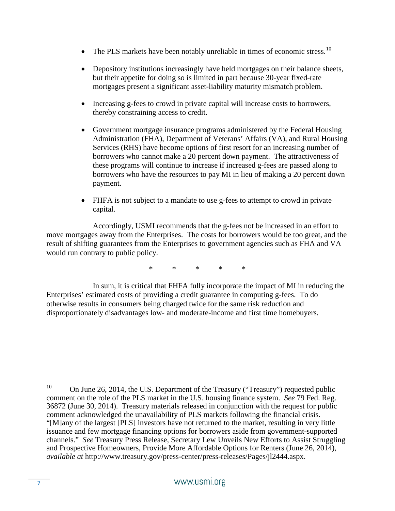- The PLS markets have been notably unreliable in times of economic stress.<sup>10</sup>
- Depository institutions increasingly have held mortgages on their balance sheets, but their appetite for doing so is limited in part because 30-year fixed-rate mortgages present a significant asset-liability maturity mismatch problem.
- Increasing g-fees to crowd in private capital will increase costs to borrowers, thereby constraining access to credit.
- Government mortgage insurance programs administered by the Federal Housing Administration (FHA), Department of Veterans' Affairs (VA), and Rural Housing Services (RHS) have become options of first resort for an increasing number of borrowers who cannot make a 20 percent down payment. The attractiveness of these programs will continue to increase if increased g-fees are passed along to borrowers who have the resources to pay MI in lieu of making a 20 percent down payment.
- FHFA is not subject to a mandate to use g-fees to attempt to crowd in private capital.

Accordingly, USMI recommends that the g-fees not be increased in an effort to move mortgages away from the Enterprises. The costs for borrowers would be too great, and the result of shifting guarantees from the Enterprises to government agencies such as FHA and VA would run contrary to public policy.

\* \* \* \* \*

In sum, it is critical that FHFA fully incorporate the impact of MI in reducing the Enterprises' estimated costs of providing a credit guarantee in computing g-fees. To do otherwise results in consumers being charged twice for the same risk reduction and disproportionately disadvantages low- and moderate-income and first time homebuyers.

<span id="page-6-0"></span><sup>&</sup>lt;sup>10</sup> On June 26, 2014, the U.S. Department of the Treasury ("Treasury") requested public comment on the role of the PLS market in the U.S. housing finance system. *See* 79 Fed. Reg. 36872 (June 30, 2014). Treasury materials released in conjunction with the request for public comment acknowledged the unavailability of PLS markets following the financial crisis. "[M]any of the largest [PLS] investors have not returned to the market, resulting in very little issuance and few mortgage financing options for borrowers aside from government-supported channels." *See* Treasury Press Release, Secretary Lew Unveils New Efforts to Assist Struggling and Prospective Homeowners, Provide More Affordable Options for Renters (June 26, 2014), *available at* http://www.treasury.gov/press-center/press-releases/Pages/jl2444.aspx.